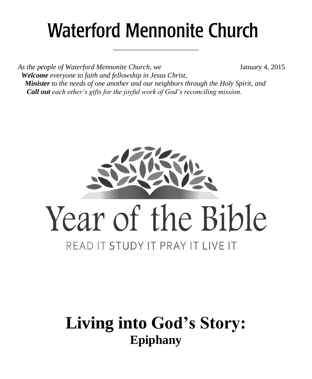# **Waterford Mennonite Church**

\_\_\_\_\_\_\_\_\_\_\_\_\_\_\_\_\_\_\_\_\_\_\_\_

*As the people of Waterford Mennonite Church, we* January 4, 2015  *Welcome everyone to faith and fellowship in Jesus Christ, Minister to the needs of one another and our neighbors through the Holy Spirit, and Call out each other's gifts for the joyful work of God's reconciling mission.*



# **Living into God's Story: Epiphany**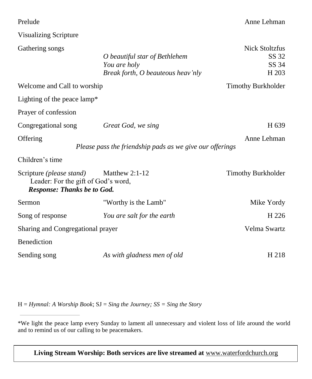| Prelude                                                                                                      |                                                                                    | Anne Lehman                                                 |
|--------------------------------------------------------------------------------------------------------------|------------------------------------------------------------------------------------|-------------------------------------------------------------|
| <b>Visualizing Scripture</b>                                                                                 |                                                                                    |                                                             |
| Gathering songs                                                                                              | O beautiful star of Bethlehem<br>You are holy<br>Break forth, O beauteous heav'nly | <b>Nick Stoltzfus</b><br>SS 32<br>SS 34<br>H <sub>203</sub> |
| Welcome and Call to worship                                                                                  |                                                                                    | <b>Timothy Burkholder</b>                                   |
| Lighting of the peace lamp*                                                                                  |                                                                                    |                                                             |
| Prayer of confession                                                                                         |                                                                                    |                                                             |
| Congregational song                                                                                          | Great God, we sing                                                                 | H 639                                                       |
| Offering                                                                                                     | Please pass the friendship pads as we give our offerings                           | Anne Lehman                                                 |
| Children's time                                                                                              |                                                                                    |                                                             |
| Scripture <i>(please stand)</i><br>Leader: For the gift of God's word,<br><b>Response: Thanks be to God.</b> | Matthew $2:1-12$                                                                   | <b>Timothy Burkholder</b>                                   |
| Sermon                                                                                                       | "Worthy is the Lamb"                                                               | Mike Yordy                                                  |
| Song of response                                                                                             | You are salt for the earth                                                         | H <sub>226</sub>                                            |
| Sharing and Congregational prayer                                                                            |                                                                                    | Velma Swartz                                                |
| Benediction                                                                                                  |                                                                                    |                                                             |
| Sending song                                                                                                 | As with gladness men of old                                                        | H 218                                                       |

H = *Hymnal: A Worship Book*; SJ = *Sing the Journey; SS = Sing the Story*

**Living Stream Worship: Both services are live streamed at** [www.waterfordchurch.org](http://www.waterfordchurch.org/)

<sup>\*</sup>We light the peace lamp every Sunday to lament all unnecessary and violent loss of life around the world and to remind us of our calling to be peacemakers.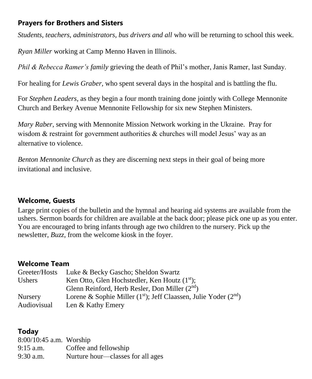# **Prayers for Brothers and Sisters**

*Students, teachers, administrators, bus drivers and all* who will be returning to school this week.

*Ryan Miller* working at Camp Menno Haven in Illinois.

*Phil & Rebecca Ramer's family* grieving the death of Phil's mother, Janis Ramer, last Sunday.

For healing for *Lewis Graber,* who spent several days in the hospital and is battling the flu.

For *Stephen Leaders,* as they begin a four month training done jointly with College Mennonite Church and Berkey Avenue Mennonite Fellowship for six new Stephen Ministers.

*Mary Raber,* serving with Mennonite Mission Network working in the Ukraine. Pray for wisdom & restraint for government authorities & churches will model Jesus' way as an alternative to violence.

*Benton Mennonite Church* as they are discerning next steps in their goal of being more invitational and inclusive.

#### **Welcome, Guests**

Large print copies of the bulletin and the hymnal and hearing aid systems are available from the ushers. Sermon boards for children are available at the back door; please pick one up as you enter. You are encouraged to bring infants through age two children to the nursery. Pick up the newsletter, *Buzz,* from the welcome kiosk in the foyer.

#### **Welcome Team**

| Luke & Becky Gascho; Sheldon Swartz                                 |
|---------------------------------------------------------------------|
| Ken Otto, Glen Hochstedler, Ken Houtz $(1st)$ ;                     |
| Glenn Reinford, Herb Resler, Don Miller $(2nd)$                     |
| Lorene & Sophie Miller $(1st)$ ; Jeff Claassen, Julie Yoder $(2nd)$ |
| Len & Kathy Emery                                                   |
|                                                                     |

#### **Today**

| 8:00/10:45 a.m. Worship |                                   |
|-------------------------|-----------------------------------|
| $9:15$ a.m.             | Coffee and fellowship             |
| 9:30 a.m.               | Nurture hour—classes for all ages |